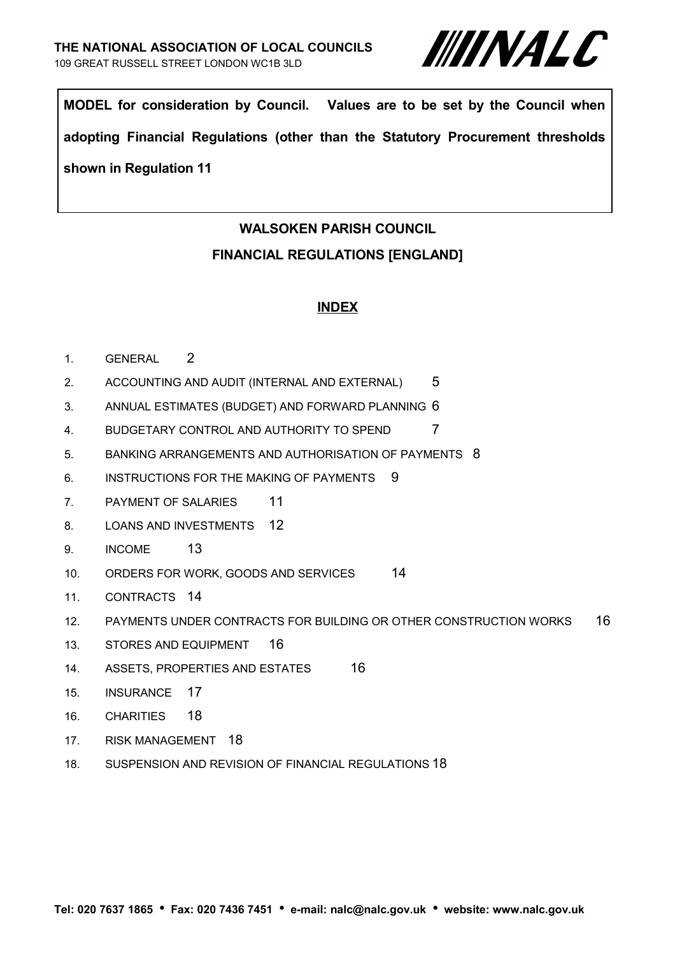

**MODEL for consideration by Council. Values are to be set by the Council when adopting Financial Regulations (other than the Statutory Procurement thresholds shown in Regulation 11**

# **WALSOKEN PARISH COUNCIL**

#### **FINANCIAL REGULATIONS [ENGLAND]**

#### **INDEX**

- 1. [GENERAL](#page-1-0) 2
- 2. [ACCOUNTING AND AUDIT \(INTERNAL AND EXTERNAL\)](#page-4-0) 5
- 3. [ANNUAL ESTIMATES \(BUDGET\) AND FORWARD PLANNING](#page-5-0) 6
- 4. [BUDGETARY CONTROL AND AUTHORITY TO SPEND](#page-6-0) 7
- 5. [BANKING ARRANGEMENTS AND AUTHORISATION OF PAYMENTS](#page-7-0) 8
- 6. [INSTRUCTIONS FOR THE MAKING OF PAYMENTS](#page-8-0) 9
- 7. [PAYMENT OF SALARIES](#page-10-0) 11
- 8. [LOANS AND INVESTMENTS](#page-11-0) 12
- 9. [INCOME](#page-12-0) 13
- 10. [ORDERS FOR WORK, GOODS AND SERVICES](#page-13-1) 14
- 11. [CONTRACTS](#page-13-0) 14
- 12. [PAYMENTS UNDER CONTRACTS FOR BUILDING OR OTHER CONSTRUCTION WORKS](#page-15-1) 16
- <span id="page-0-1"></span>13. [STORES AND EQUIPMENT](#page-0-1) 16
- 14. [ASSETS, PROPERTIES AND ESTATES](#page-15-0) 16
- 15. [INSURANCE](#page-16-0) 17
- <span id="page-0-0"></span>16. [CHARITIES](#page-0-0) 18
- 17. [RISK MANAGEMENT](#page-17-1) 18
- 18. [SUSPENSION AND REVISION OF FINANCIAL REGULATIONS](#page-17-0) 18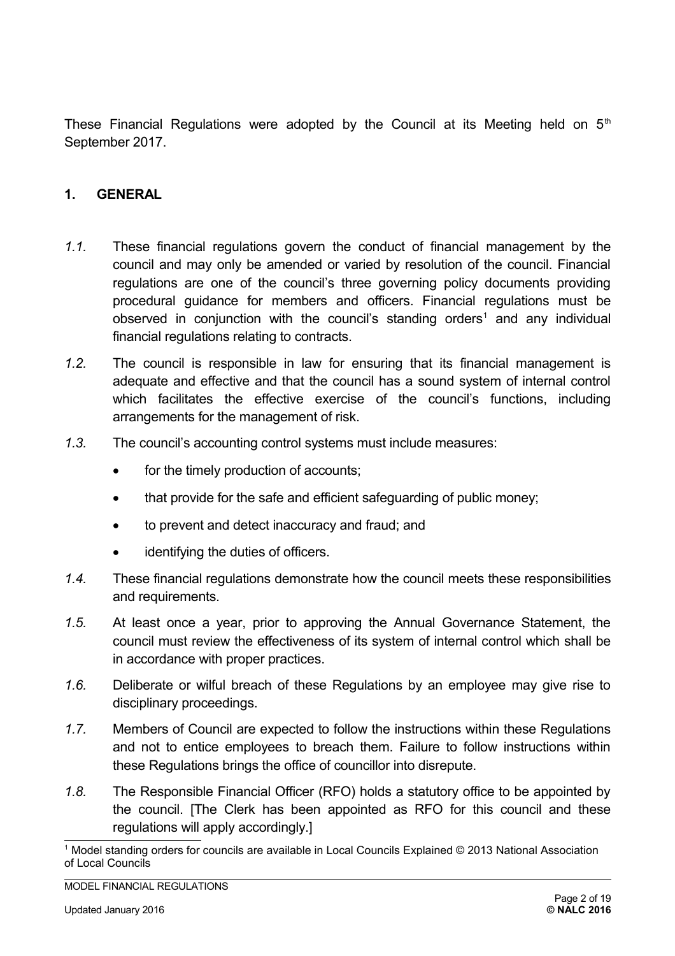These Financial Regulations were adopted by the Council at its Meeting held on  $5<sup>th</sup>$ September 2017.

#### <span id="page-1-0"></span>**1. GENERAL**

- *1.1.* These financial regulations govern the conduct of financial management by the council and may only be amended or varied by resolution of the council. Financial regulations are one of the council's three governing policy documents providing procedural guidance for members and officers. Financial regulations must be observed in conjunction with the council's standing orders<sup>[1](#page-1-1)</sup> and any individual financial regulations relating to contracts.
- *1.2.* The council is responsible in law for ensuring that its financial management is adequate and effective and that the council has a sound system of internal control which facilitates the effective exercise of the council's functions, including arrangements for the management of risk.
- *1.3.* The council's accounting control systems must include measures:
	- for the timely production of accounts;
	- that provide for the safe and efficient safeguarding of public money;
	- to prevent and detect inaccuracy and fraud; and
	- identifying the duties of officers.
- *1.4.* These financial regulations demonstrate how the council meets these responsibilities and requirements.
- *1.5.* At least once a year, prior to approving the Annual Governance Statement, the council must review the effectiveness of its system of internal control which shall be in accordance with proper practices.
- *1.6.* Deliberate or wilful breach of these Regulations by an employee may give rise to disciplinary proceedings.
- *1.7.* Members of Council are expected to follow the instructions within these Regulations and not to entice employees to breach them. Failure to follow instructions within these Regulations brings the office of councillor into disrepute.
- *1.8.* The Responsible Financial Officer (RFO) holds a statutory office to be appointed by the council. [The Clerk has been appointed as RFO for this council and these regulations will apply accordingly.]

<span id="page-1-1"></span><sup>1</sup> Model standing orders for councils are available in Local Councils Explained © 2013 National Association of Local Councils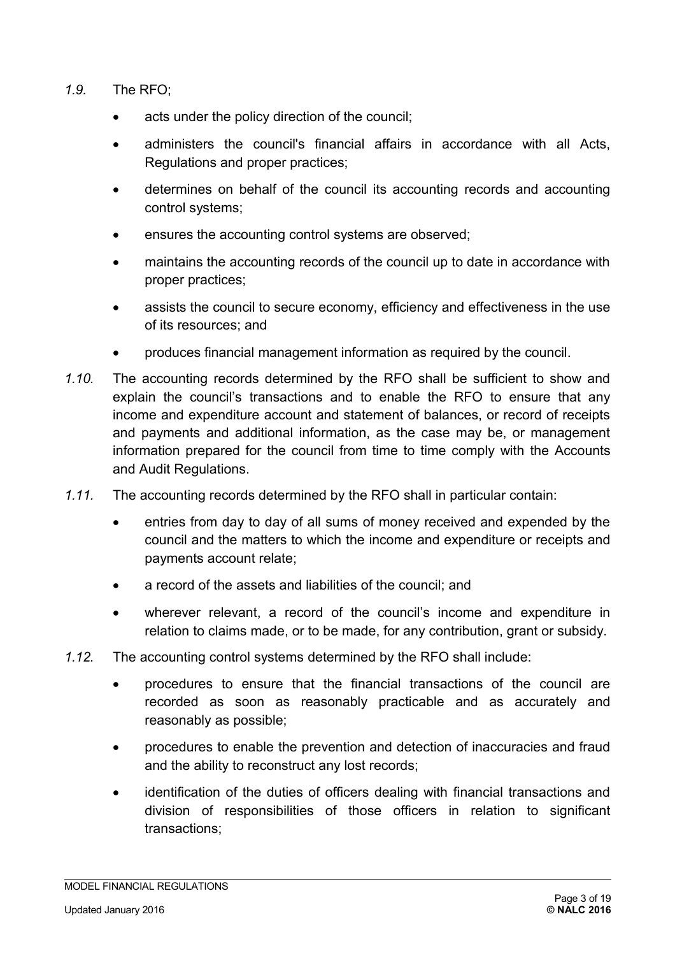- *1.9.* The RFO;
	- acts under the policy direction of the council;
	- administers the council's financial affairs in accordance with all Acts, Regulations and proper practices;
	- determines on behalf of the council its accounting records and accounting control systems;
	- ensures the accounting control systems are observed;
	- maintains the accounting records of the council up to date in accordance with proper practices;
	- assists the council to secure economy, efficiency and effectiveness in the use of its resources; and
	- produces financial management information as required by the council.
- *1.10.* The accounting records determined by the RFO shall be sufficient to show and explain the council's transactions and to enable the RFO to ensure that any income and expenditure account and statement of balances, or record of receipts and payments and additional information, as the case may be, or management information prepared for the council from time to time comply with the Accounts and Audit Regulations.
- *1.11.* The accounting records determined by the RFO shall in particular contain:
	- entries from day to day of all sums of money received and expended by the council and the matters to which the income and expenditure or receipts and payments account relate;
	- a record of the assets and liabilities of the council; and
	- wherever relevant, a record of the council's income and expenditure in relation to claims made, or to be made, for any contribution, grant or subsidy.
- *1.12.* The accounting control systems determined by the RFO shall include:
	- procedures to ensure that the financial transactions of the council are recorded as soon as reasonably practicable and as accurately and reasonably as possible;
	- procedures to enable the prevention and detection of inaccuracies and fraud and the ability to reconstruct any lost records;
	- identification of the duties of officers dealing with financial transactions and division of responsibilities of those officers in relation to significant transactions;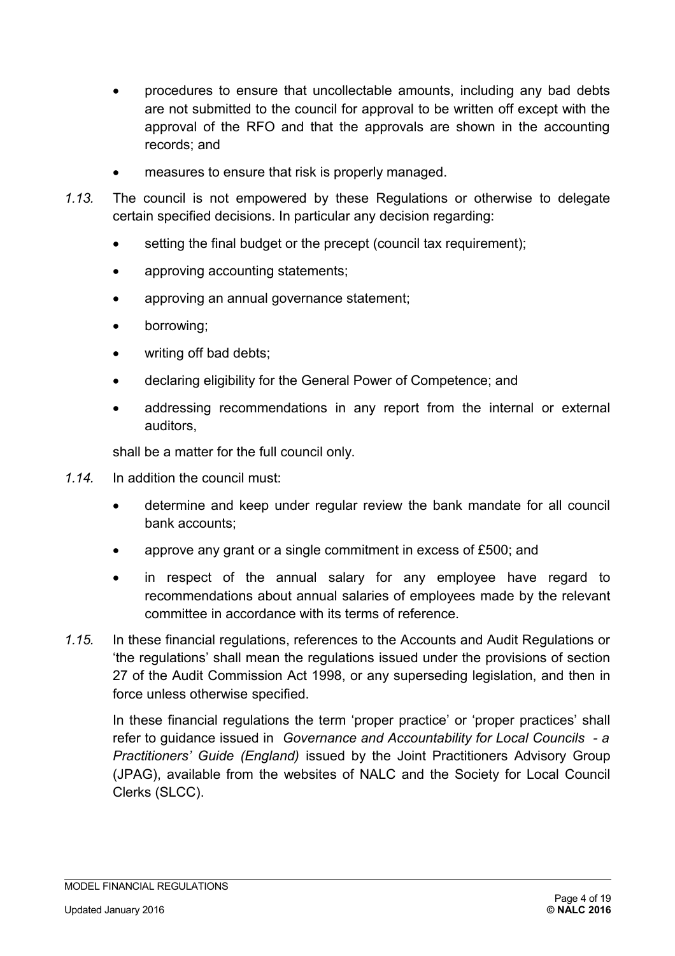- procedures to ensure that uncollectable amounts, including any bad debts are not submitted to the council for approval to be written off except with the approval of the RFO and that the approvals are shown in the accounting records; and
- measures to ensure that risk is properly managed.
- *1.13.* The council is not empowered by these Regulations or otherwise to delegate certain specified decisions. In particular any decision regarding:
	- setting the final budget or the precept (council tax requirement);
	- approving accounting statements;
	- approving an annual governance statement;
	- borrowing;
	- writing off bad debts;
	- declaring eligibility for the General Power of Competence; and
	- addressing recommendations in any report from the internal or external auditors,

shall be a matter for the full council only.

- *1.14.* In addition the council must:
	- determine and keep under regular review the bank mandate for all council bank accounts;
	- approve any grant or a single commitment in excess of £500; and
	- in respect of the annual salary for any employee have regard to recommendations about annual salaries of employees made by the relevant committee in accordance with its terms of reference.
- *1.15.* In these financial regulations, references to the Accounts and Audit Regulations or 'the regulations' shall mean the regulations issued under the provisions of section 27 of the Audit Commission Act 1998, or any superseding legislation, and then in force unless otherwise specified.

In these financial regulations the term 'proper practice' or 'proper practices' shall refer to guidance issued in *Governance and Accountability for Local Councils - a Practitioners' Guide (England)* issued by the Joint Practitioners Advisory Group (JPAG), available from the websites of NALC and the Society for Local Council Clerks (SLCC).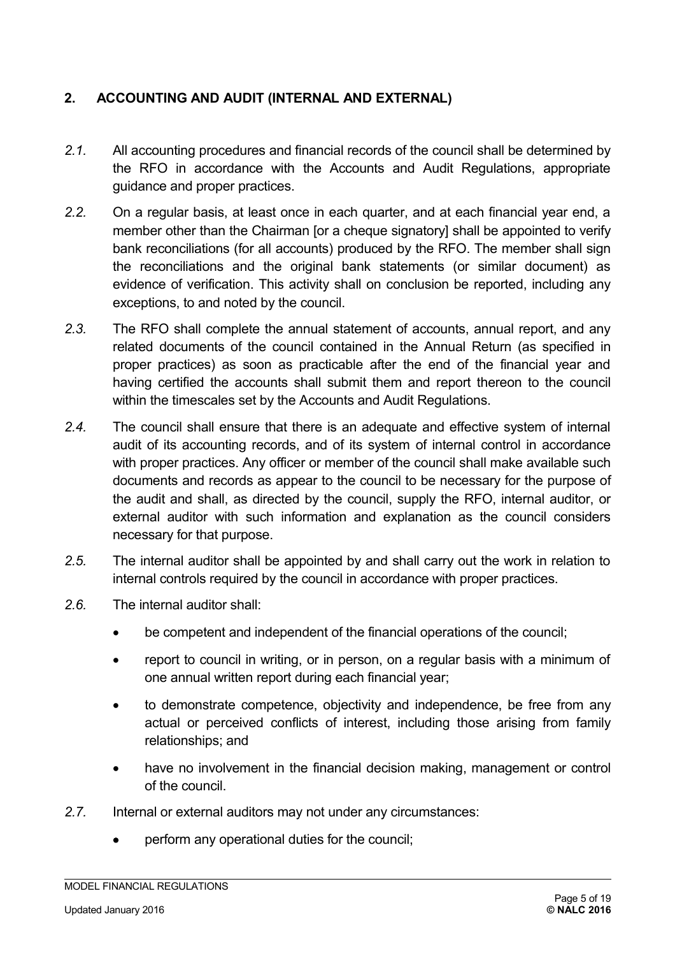# <span id="page-4-0"></span>**2. ACCOUNTING AND AUDIT (INTERNAL AND EXTERNAL)**

- *2.1.* All accounting procedures and financial records of the council shall be determined by the RFO in accordance with the Accounts and Audit Regulations, appropriate guidance and proper practices.
- *2.2.* On a regular basis, at least once in each quarter, and at each financial year end, a member other than the Chairman for a cheque signatoryl shall be appointed to verify bank reconciliations (for all accounts) produced by the RFO. The member shall sign the reconciliations and the original bank statements (or similar document) as evidence of verification. This activity shall on conclusion be reported, including any exceptions, to and noted by the council.
- *2.3.* The RFO shall complete the annual statement of accounts, annual report, and any related documents of the council contained in the Annual Return (as specified in proper practices) as soon as practicable after the end of the financial year and having certified the accounts shall submit them and report thereon to the council within the timescales set by the Accounts and Audit Regulations.
- *2.4.* The council shall ensure that there is an adequate and effective system of internal audit of its accounting records, and of its system of internal control in accordance with proper practices. Any officer or member of the council shall make available such documents and records as appear to the council to be necessary for the purpose of the audit and shall, as directed by the council, supply the RFO, internal auditor, or external auditor with such information and explanation as the council considers necessary for that purpose.
- *2.5.* The internal auditor shall be appointed by and shall carry out the work in relation to internal controls required by the council in accordance with proper practices.
- *2.6.* The internal auditor shall:
	- be competent and independent of the financial operations of the council;
	- report to council in writing, or in person, on a regular basis with a minimum of one annual written report during each financial year;
	- to demonstrate competence, objectivity and independence, be free from any actual or perceived conflicts of interest, including those arising from family relationships; and
	- have no involvement in the financial decision making, management or control of the council.
- *2.7.* Internal or external auditors may not under any circumstances:
	- perform any operational duties for the council;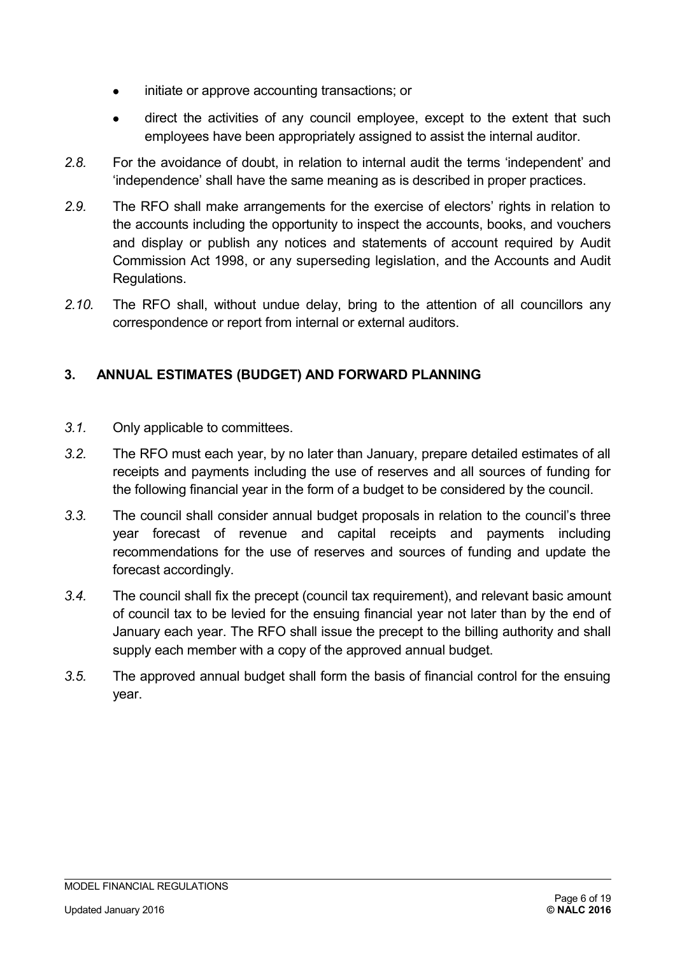- initiate or approve accounting transactions; or
- direct the activities of any council employee, except to the extent that such employees have been appropriately assigned to assist the internal auditor.
- *2.8.* For the avoidance of doubt, in relation to internal audit the terms 'independent' and 'independence' shall have the same meaning as is described in proper practices.
- *2.9.* The RFO shall make arrangements for the exercise of electors' rights in relation to the accounts including the opportunity to inspect the accounts, books, and vouchers and display or publish any notices and statements of account required by Audit Commission Act 1998, or any superseding legislation, and the Accounts and Audit Regulations.
- *2.10.* The RFO shall, without undue delay, bring to the attention of all councillors any correspondence or report from internal or external auditors.

# <span id="page-5-0"></span>**3. ANNUAL ESTIMATES (BUDGET) AND FORWARD PLANNING**

- *3.1.* Only applicable to committees.
- *3.2.* The RFO must each year, by no later than January, prepare detailed estimates of all receipts and payments including the use of reserves and all sources of funding for the following financial year in the form of a budget to be considered by the council.
- *3.3.* The council shall consider annual budget proposals in relation to the council's three year forecast of revenue and capital receipts and payments including recommendations for the use of reserves and sources of funding and update the forecast accordingly.
- *3.4.* The council shall fix the precept (council tax requirement), and relevant basic amount of council tax to be levied for the ensuing financial year not later than by the end of January each year. The RFO shall issue the precept to the billing authority and shall supply each member with a copy of the approved annual budget.
- *3.5.* The approved annual budget shall form the basis of financial control for the ensuing year.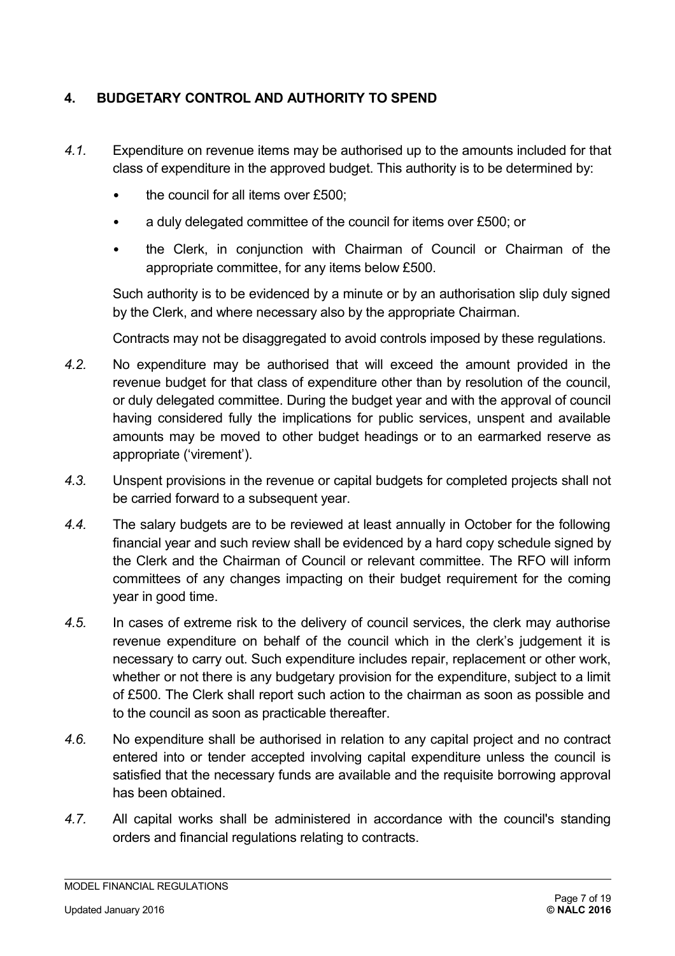# <span id="page-6-0"></span>**4. BUDGETARY CONTROL AND AUTHORITY TO SPEND**

- *4.1.* Expenditure on revenue items may be authorised up to the amounts included for that class of expenditure in the approved budget. This authority is to be determined by:
	- the council for all items over £500;
	- a duly delegated committee of the council for items over £500; or
	- the Clerk, in conjunction with Chairman of Council or Chairman of the appropriate committee, for any items below £500.

Such authority is to be evidenced by a minute or by an authorisation slip duly signed by the Clerk, and where necessary also by the appropriate Chairman.

Contracts may not be disaggregated to avoid controls imposed by these regulations.

- *4.2.* No expenditure may be authorised that will exceed the amount provided in the revenue budget for that class of expenditure other than by resolution of the council, or duly delegated committee. During the budget year and with the approval of council having considered fully the implications for public services, unspent and available amounts may be moved to other budget headings or to an earmarked reserve as appropriate ('virement').
- *4.3.* Unspent provisions in the revenue or capital budgets for completed projects shall not be carried forward to a subsequent year.
- *4.4.* The salary budgets are to be reviewed at least annually in October for the following financial year and such review shall be evidenced by a hard copy schedule signed by the Clerk and the Chairman of Council or relevant committee. The RFO will inform committees of any changes impacting on their budget requirement for the coming year in good time.
- *4.5.* In cases of extreme risk to the delivery of council services, the clerk may authorise revenue expenditure on behalf of the council which in the clerk's judgement it is necessary to carry out. Such expenditure includes repair, replacement or other work, whether or not there is any budgetary provision for the expenditure, subject to a limit of £500. The Clerk shall report such action to the chairman as soon as possible and to the council as soon as practicable thereafter.
- *4.6.* No expenditure shall be authorised in relation to any capital project and no contract entered into or tender accepted involving capital expenditure unless the council is satisfied that the necessary funds are available and the requisite borrowing approval has been obtained.
- *4.7.* All capital works shall be administered in accordance with the council's standing orders and financial regulations relating to contracts.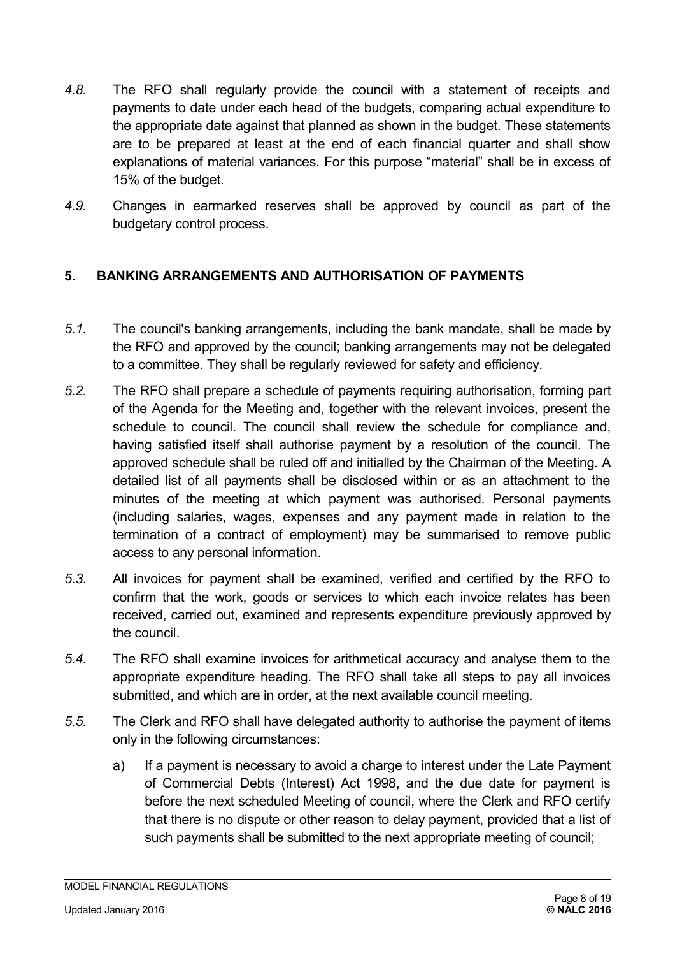- *4.8.* The RFO shall regularly provide the council with a statement of receipts and payments to date under each head of the budgets, comparing actual expenditure to the appropriate date against that planned as shown in the budget. These statements are to be prepared at least at the end of each financial quarter and shall show explanations of material variances. For this purpose "material" shall be in excess of 15% of the budget.
- *4.9.* Changes in earmarked reserves shall be approved by council as part of the budgetary control process.

# <span id="page-7-0"></span>**5. BANKING ARRANGEMENTS AND AUTHORISATION OF PAYMENTS**

- *5.1.* The council's banking arrangements, including the bank mandate, shall be made by the RFO and approved by the council; banking arrangements may not be delegated to a committee. They shall be regularly reviewed for safety and efficiency.
- *5.2.* The RFO shall prepare a schedule of payments requiring authorisation, forming part of the Agenda for the Meeting and, together with the relevant invoices, present the schedule to council. The council shall review the schedule for compliance and, having satisfied itself shall authorise payment by a resolution of the council. The approved schedule shall be ruled off and initialled by the Chairman of the Meeting. A detailed list of all payments shall be disclosed within or as an attachment to the minutes of the meeting at which payment was authorised. Personal payments (including salaries, wages, expenses and any payment made in relation to the termination of a contract of employment) may be summarised to remove public access to any personal information.
- *5.3.* All invoices for payment shall be examined, verified and certified by the RFO to confirm that the work, goods or services to which each invoice relates has been received, carried out, examined and represents expenditure previously approved by the council.
- *5.4.* The RFO shall examine invoices for arithmetical accuracy and analyse them to the appropriate expenditure heading. The RFO shall take all steps to pay all invoices submitted, and which are in order, at the next available council meeting.
- *5.5.* The Clerk and RFO shall have delegated authority to authorise the payment of items only in the following circumstances:
	- a) If a payment is necessary to avoid a charge to interest under the Late Payment of Commercial Debts (Interest) Act 1998, and the due date for payment is before the next scheduled Meeting of council, where the Clerk and RFO certify that there is no dispute or other reason to delay payment, provided that a list of such payments shall be submitted to the next appropriate meeting of council;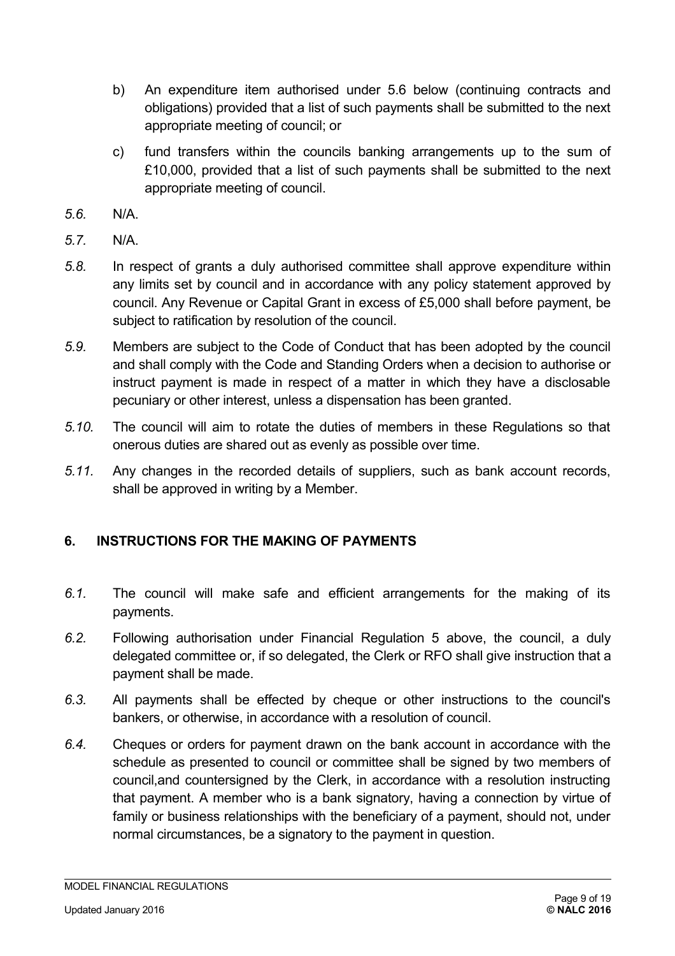- b) An expenditure item authorised under 5.6 below (continuing contracts and obligations) provided that a list of such payments shall be submitted to the next appropriate meeting of council; or
- c) fund transfers within the councils banking arrangements up to the sum of £10,000, provided that a list of such payments shall be submitted to the next appropriate meeting of council.
- *5.6.* N/A.
- *5.7.* N/A.
- *5.8.* In respect of grants a duly authorised committee shall approve expenditure within any limits set by council and in accordance with any policy statement approved by council. Any Revenue or Capital Grant in excess of £5,000 shall before payment, be subject to ratification by resolution of the council.
- *5.9.* Members are subject to the Code of Conduct that has been adopted by the council and shall comply with the Code and Standing Orders when a decision to authorise or instruct payment is made in respect of a matter in which they have a disclosable pecuniary or other interest, unless a dispensation has been granted.
- *5.10.* The council will aim to rotate the duties of members in these Regulations so that onerous duties are shared out as evenly as possible over time.
- *5.11.* Any changes in the recorded details of suppliers, such as bank account records, shall be approved in writing by a Member.

# <span id="page-8-0"></span>**6. INSTRUCTIONS FOR THE MAKING OF PAYMENTS**

- *6.1.* The council will make safe and efficient arrangements for the making of its payments.
- *6.2.* Following authorisation under Financial Regulation 5 above, the council, a duly delegated committee or, if so delegated, the Clerk or RFO shall give instruction that a payment shall be made.
- *6.3.* All payments shall be effected by cheque or other instructions to the council's bankers, or otherwise, in accordance with a resolution of council.
- *6.4.* Cheques or orders for payment drawn on the bank account in accordance with the schedule as presented to council or committee shall be signed by two members of council,and countersigned by the Clerk, in accordance with a resolution instructing that payment. A member who is a bank signatory, having a connection by virtue of family or business relationships with the beneficiary of a payment, should not, under normal circumstances, be a signatory to the payment in question.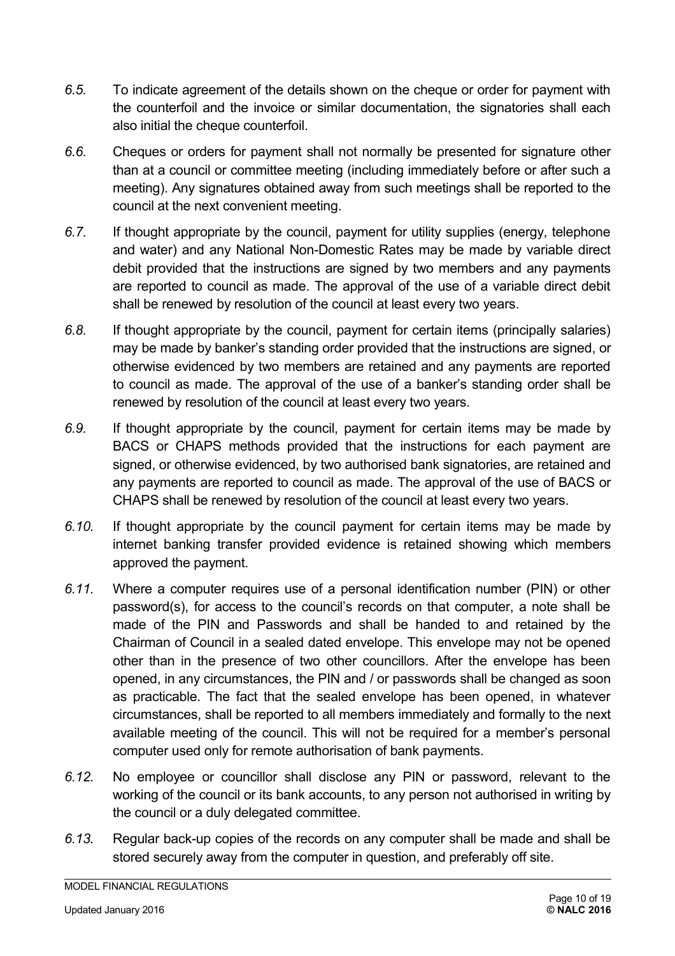- *6.5.* To indicate agreement of the details shown on the cheque or order for payment with the counterfoil and the invoice or similar documentation, the signatories shall each also initial the cheque counterfoil.
- *6.6.* Cheques or orders for payment shall not normally be presented for signature other than at a council or committee meeting (including immediately before or after such a meeting). Any signatures obtained away from such meetings shall be reported to the council at the next convenient meeting.
- *6.7.* If thought appropriate by the council, payment for utility supplies (energy, telephone and water) and any National Non-Domestic Rates may be made by variable direct debit provided that the instructions are signed by two members and any payments are reported to council as made. The approval of the use of a variable direct debit shall be renewed by resolution of the council at least every two years.
- *6.8.* If thought appropriate by the council, payment for certain items (principally salaries) may be made by banker's standing order provided that the instructions are signed, or otherwise evidenced by two members are retained and any payments are reported to council as made. The approval of the use of a banker's standing order shall be renewed by resolution of the council at least every two years.
- *6.9.* If thought appropriate by the council, payment for certain items may be made by BACS or CHAPS methods provided that the instructions for each payment are signed, or otherwise evidenced, by two authorised bank signatories, are retained and any payments are reported to council as made. The approval of the use of BACS or CHAPS shall be renewed by resolution of the council at least every two years.
- *6.10.* If thought appropriate by the council payment for certain items may be made by internet banking transfer provided evidence is retained showing which members approved the payment.
- *6.11.* Where a computer requires use of a personal identification number (PIN) or other password(s), for access to the council's records on that computer, a note shall be made of the PIN and Passwords and shall be handed to and retained by the Chairman of Council in a sealed dated envelope. This envelope may not be opened other than in the presence of two other councillors. After the envelope has been opened, in any circumstances, the PIN and / or passwords shall be changed as soon as practicable. The fact that the sealed envelope has been opened, in whatever circumstances, shall be reported to all members immediately and formally to the next available meeting of the council. This will not be required for a member's personal computer used only for remote authorisation of bank payments.
- *6.12.* No employee or councillor shall disclose any PIN or password, relevant to the working of the council or its bank accounts, to any person not authorised in writing by the council or a duly delegated committee.
- *6.13.* Regular back-up copies of the records on any computer shall be made and shall be stored securely away from the computer in question, and preferably off site.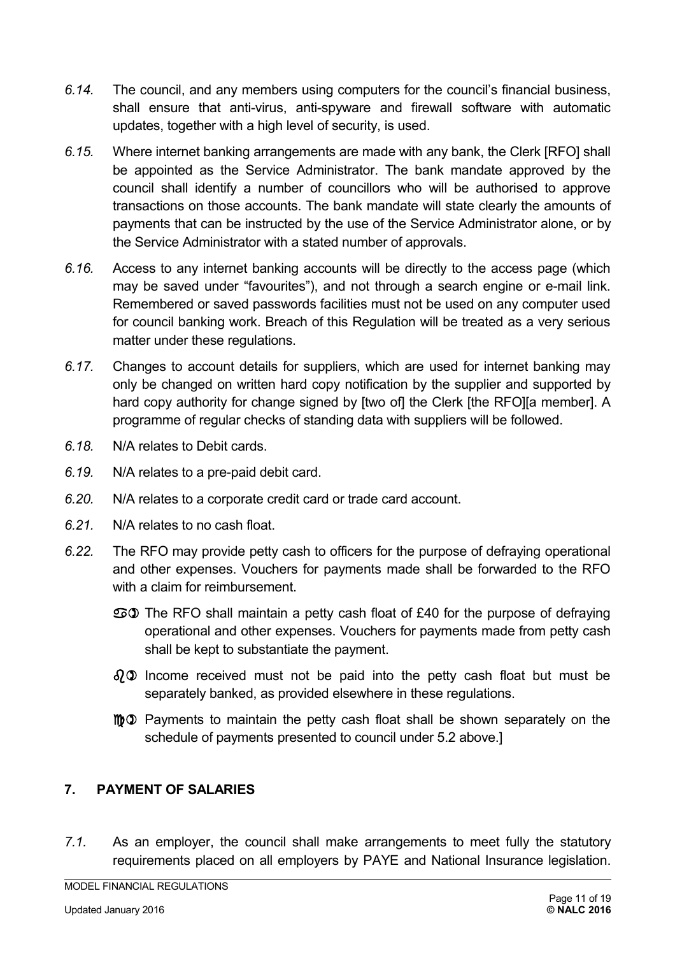- *6.14.* The council, and any members using computers for the council's financial business, shall ensure that anti-virus, anti-spyware and firewall software with automatic updates, together with a high level of security, is used.
- *6.15.* Where internet banking arrangements are made with any bank, the Clerk [RFO] shall be appointed as the Service Administrator. The bank mandate approved by the council shall identify a number of councillors who will be authorised to approve transactions on those accounts. The bank mandate will state clearly the amounts of payments that can be instructed by the use of the Service Administrator alone, or by the Service Administrator with a stated number of approvals.
- *6.16.* Access to any internet banking accounts will be directly to the access page (which may be saved under "favourites"), and not through a search engine or e-mail link. Remembered or saved passwords facilities must not be used on any computer used for council banking work. Breach of this Regulation will be treated as a very serious matter under these regulations.
- *6.17.* Changes to account details for suppliers, which are used for internet banking may only be changed on written hard copy notification by the supplier and supported by hard copy authority for change signed by [two of] the Clerk [the RFO][a member]. A programme of regular checks of standing data with suppliers will be followed.
- *6.18.* N/A relates to Debit cards.
- *6.19.* N/A relates to a pre-paid debit card.
- *6.20.* N/A relates to a corporate credit card or trade card account.
- *6.21.* N/A relates to no cash float.
- *6.22.* The RFO may provide petty cash to officers for the purpose of defraying operational and other expenses. Vouchers for payments made shall be forwarded to the RFO with a claim for reimbursement.
	- a) The RFO shall maintain a petty cash float of £40 for the purpose of defraying operational and other expenses. Vouchers for payments made from petty cash shall be kept to substantiate the payment.
	- $\partial_i \mathcal{D}$  Income received must not be paid into the petty cash float but must be separately banked, as provided elsewhere in these regulations.
	- $m\Omega$  Payments to maintain the petty cash float shall be shown separately on the schedule of payments presented to council under 5.2 above.]

#### <span id="page-10-0"></span>**7. PAYMENT OF SALARIES**

*7.1.* As an employer, the council shall make arrangements to meet fully the statutory requirements placed on all employers by PAYE and National Insurance legislation.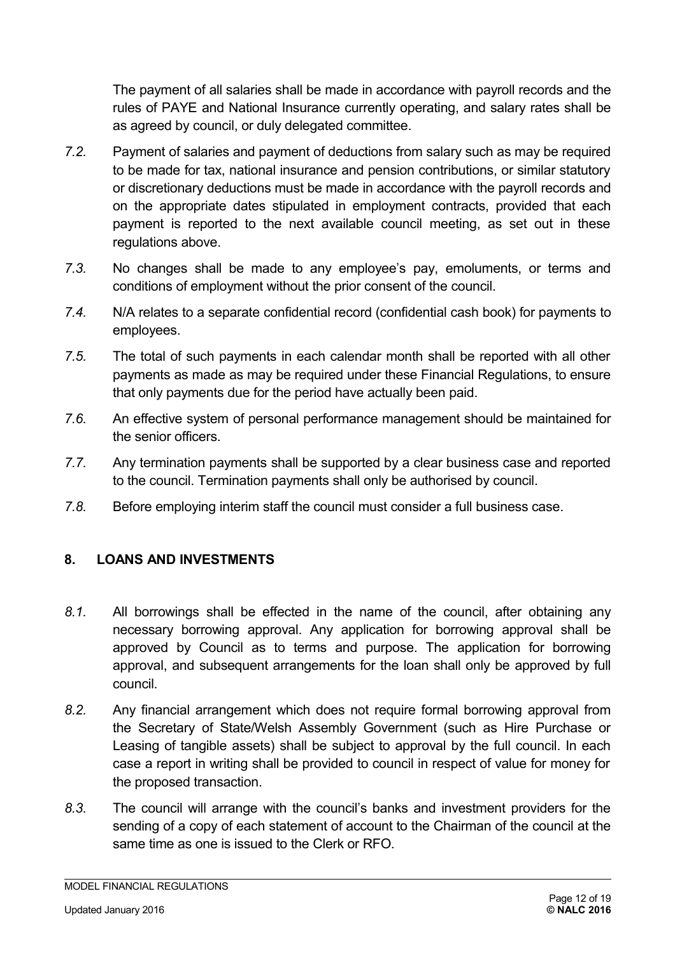The payment of all salaries shall be made in accordance with payroll records and the rules of PAYE and National Insurance currently operating, and salary rates shall be as agreed by council, or duly delegated committee.

- *7.2.* Payment of salaries and payment of deductions from salary such as may be required to be made for tax, national insurance and pension contributions, or similar statutory or discretionary deductions must be made in accordance with the payroll records and on the appropriate dates stipulated in employment contracts, provided that each payment is reported to the next available council meeting, as set out in these regulations above.
- *7.3.* No changes shall be made to any employee's pay, emoluments, or terms and conditions of employment without the prior consent of the council.
- *7.4.* N/A relates to a separate confidential record (confidential cash book) for payments to employees.
- *7.5.* The total of such payments in each calendar month shall be reported with all other payments as made as may be required under these Financial Regulations, to ensure that only payments due for the period have actually been paid.
- *7.6.* An effective system of personal performance management should be maintained for the senior officers.
- *7.7.* Any termination payments shall be supported by a clear business case and reported to the council. Termination payments shall only be authorised by council.
- *7.8.* Before employing interim staff the council must consider a full business case.

# <span id="page-11-0"></span>**8. LOANS AND INVESTMENTS**

- *8.1.* All borrowings shall be effected in the name of the council, after obtaining any necessary borrowing approval. Any application for borrowing approval shall be approved by Council as to terms and purpose. The application for borrowing approval, and subsequent arrangements for the loan shall only be approved by full council.
- *8.2.* Any financial arrangement which does not require formal borrowing approval from the Secretary of State/Welsh Assembly Government (such as Hire Purchase or Leasing of tangible assets) shall be subject to approval by the full council. In each case a report in writing shall be provided to council in respect of value for money for the proposed transaction.
- *8.3.* The council will arrange with the council's banks and investment providers for the sending of a copy of each statement of account to the Chairman of the council at the same time as one is issued to the Clerk or RFO.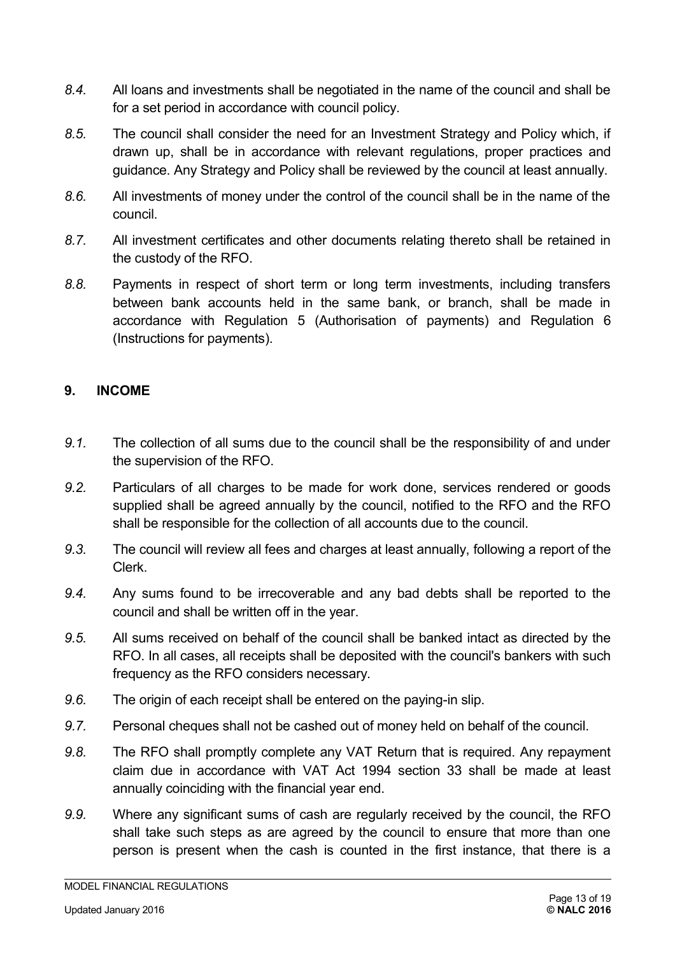- *8.4.* All loans and investments shall be negotiated in the name of the council and shall be for a set period in accordance with council policy.
- *8.5.* The council shall consider the need for an Investment Strategy and Policy which, if drawn up, shall be in accordance with relevant regulations, proper practices and guidance. Any Strategy and Policy shall be reviewed by the council at least annually.
- *8.6.* All investments of money under the control of the council shall be in the name of the council.
- *8.7.* All investment certificates and other documents relating thereto shall be retained in the custody of the RFO.
- *8.8.* Payments in respect of short term or long term investments, including transfers between bank accounts held in the same bank, or branch, shall be made in accordance with Regulation 5 (Authorisation of payments) and Regulation 6 (Instructions for payments).

#### <span id="page-12-0"></span>**9. INCOME**

- *9.1.* The collection of all sums due to the council shall be the responsibility of and under the supervision of the RFO.
- *9.2.* Particulars of all charges to be made for work done, services rendered or goods supplied shall be agreed annually by the council, notified to the RFO and the RFO shall be responsible for the collection of all accounts due to the council.
- *9.3.* The council will review all fees and charges at least annually, following a report of the Clerk.
- *9.4.* Any sums found to be irrecoverable and any bad debts shall be reported to the council and shall be written off in the year.
- *9.5.* All sums received on behalf of the council shall be banked intact as directed by the RFO. In all cases, all receipts shall be deposited with the council's bankers with such frequency as the RFO considers necessary.
- *9.6.* The origin of each receipt shall be entered on the paying-in slip.
- *9.7.* Personal cheques shall not be cashed out of money held on behalf of the council.
- *9.8.* The RFO shall promptly complete any VAT Return that is required. Any repayment claim due in accordance with VAT Act 1994 section 33 shall be made at least annually coinciding with the financial year end.
- *9.9.* Where any significant sums of cash are regularly received by the council, the RFO shall take such steps as are agreed by the council to ensure that more than one person is present when the cash is counted in the first instance, that there is a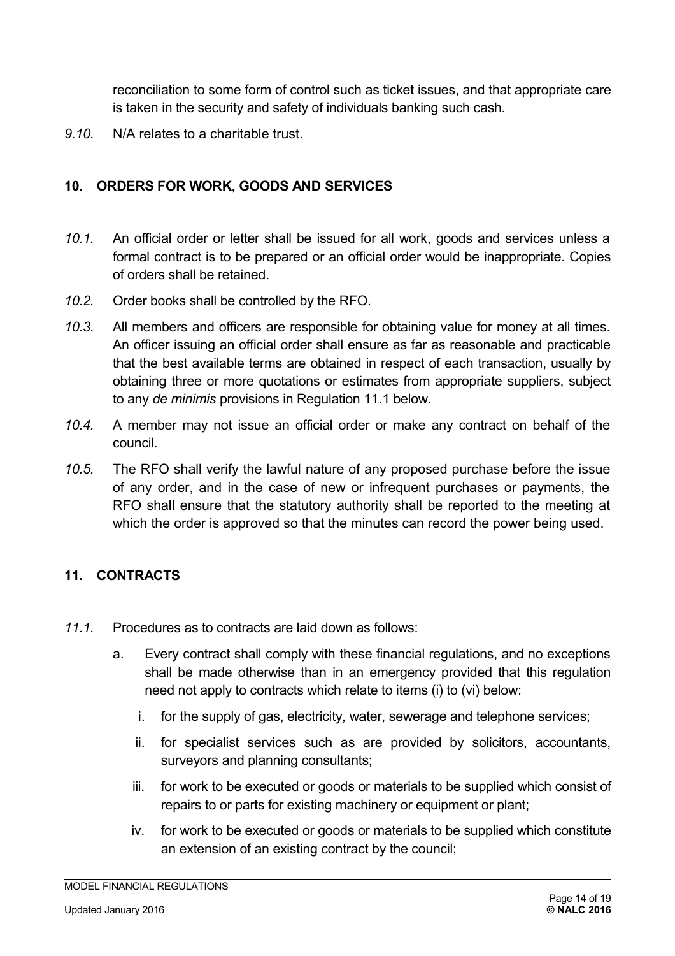reconciliation to some form of control such as ticket issues, and that appropriate care is taken in the security and safety of individuals banking such cash.

*9.10.* N/A relates to a charitable trust.

# <span id="page-13-1"></span>**10. ORDERS FOR WORK, GOODS AND SERVICES**

- *10.1.* An official order or letter shall be issued for all work, goods and services unless a formal contract is to be prepared or an official order would be inappropriate. Copies of orders shall be retained.
- *10.2.* Order books shall be controlled by the RFO.
- *10.3.* All members and officers are responsible for obtaining value for money at all times. An officer issuing an official order shall ensure as far as reasonable and practicable that the best available terms are obtained in respect of each transaction, usually by obtaining three or more quotations or estimates from appropriate suppliers, subject to any *de minimis* provisions in Regulation 11.1 below.
- *10.4.* A member may not issue an official order or make any contract on behalf of the council.
- *10.5.* The RFO shall verify the lawful nature of any proposed purchase before the issue of any order, and in the case of new or infrequent purchases or payments, the RFO shall ensure that the statutory authority shall be reported to the meeting at which the order is approved so that the minutes can record the power being used.

# <span id="page-13-0"></span>**11. CONTRACTS**

- *11.1.* Procedures as to contracts are laid down as follows:
	- a. Every contract shall comply with these financial regulations, and no exceptions shall be made otherwise than in an emergency provided that this regulation need not apply to contracts which relate to items (i) to (vi) below:
		- i. for the supply of gas, electricity, water, sewerage and telephone services;
		- ii. for specialist services such as are provided by solicitors, accountants, surveyors and planning consultants;
		- iii. for work to be executed or goods or materials to be supplied which consist of repairs to or parts for existing machinery or equipment or plant;
		- iv. for work to be executed or goods or materials to be supplied which constitute an extension of an existing contract by the council;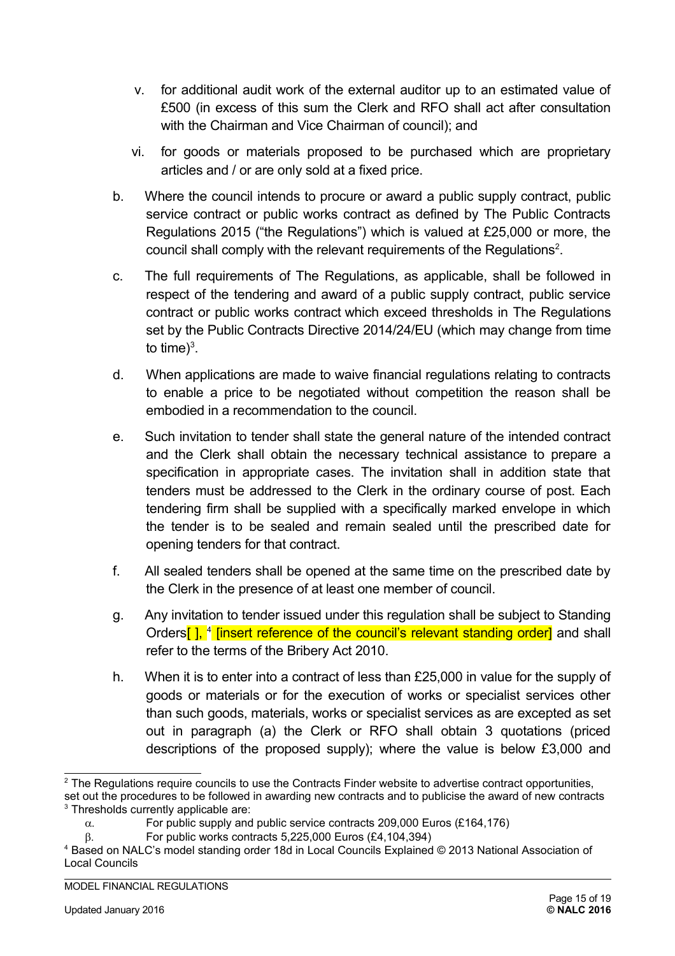- v. for additional audit work of the external auditor up to an estimated value of £500 (in excess of this sum the Clerk and RFO shall act after consultation with the Chairman and Vice Chairman of council); and
- vi. for goods or materials proposed to be purchased which are proprietary articles and / or are only sold at a fixed price.
- b. Where the council intends to procure or award a public supply contract, public service contract or public works contract as defined by The Public Contracts Regulations 2015 ("the Regulations") which is valued at £25,000 or more, the council shall comply with the relevant requirements of the Regulations<sup>[2](#page-14-0)</sup>.
- c. The full requirements of The Regulations, as applicable, shall be followed in respect of the tendering and award of a public supply contract, public service contract or public works contract which exceed thresholds in The Regulations set by the Public Contracts Directive 2014/24/EU (which may change from time to time)<sup>[3](#page-14-1)</sup>.
- d. When applications are made to waive financial regulations relating to contracts to enable a price to be negotiated without competition the reason shall be embodied in a recommendation to the council.
- e. Such invitation to tender shall state the general nature of the intended contract and the Clerk shall obtain the necessary technical assistance to prepare a specification in appropriate cases. The invitation shall in addition state that tenders must be addressed to the Clerk in the ordinary course of post. Each tendering firm shall be supplied with a specifically marked envelope in which the tender is to be sealed and remain sealed until the prescribed date for opening tenders for that contract.
- f. All sealed tenders shall be opened at the same time on the prescribed date by the Clerk in the presence of at least one member of council.
- g. Any invitation to tender issued under this regulation shall be subject to Standing Orders[ ], <sup>[4](#page-14-2)</sup> [insert reference of the council's relevant standing order] and shall refer to the terms of the Bribery Act 2010.
- h. When it is to enter into a contract of less than £25,000 in value for the supply of goods or materials or for the execution of works or specialist services other than such goods, materials, works or specialist services as are excepted as set out in paragraph (a) the Clerk or RFO shall obtain 3 quotations (priced descriptions of the proposed supply); where the value is below £3,000 and

 $\beta$ . For public works contracts 5,225,000 Euros (£4,104,394)

<span id="page-14-0"></span><sup>&</sup>lt;sup>2</sup> The Regulations require councils to use the Contracts Finder website to advertise contract opportunities,

<span id="page-14-1"></span>set out the procedures to be followed in awarding new contracts and to publicise the award of new contracts <sup>3</sup> Thresholds currently applicable are:

 $\alpha$ . For public supply and public service contracts 209,000 Euros (£164,176)

<span id="page-14-2"></span><sup>4</sup> Based on NALC's model standing order 18d in Local Councils Explained © 2013 National Association of Local Councils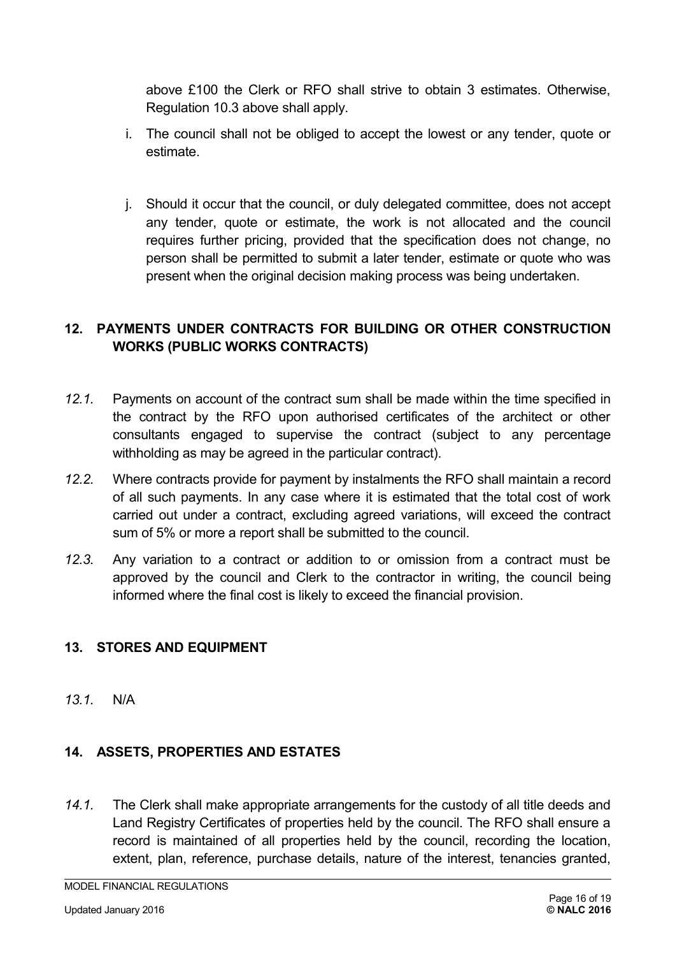above £100 the Clerk or RFO shall strive to obtain 3 estimates. Otherwise, Regulation 10.3 above shall apply.

- i. The council shall not be obliged to accept the lowest or any tender, quote or estimate.
- j. Should it occur that the council, or duly delegated committee, does not accept any tender, quote or estimate, the work is not allocated and the council requires further pricing, provided that the specification does not change, no person shall be permitted to submit a later tender, estimate or quote who was present when the original decision making process was being undertaken.

# <span id="page-15-1"></span>**12. PAYMENTS UNDER CONTRACTS FOR BUILDING OR OTHER CONSTRUCTION WORKS (PUBLIC WORKS CONTRACTS)**

- *12.1.* Payments on account of the contract sum shall be made within the time specified in the contract by the RFO upon authorised certificates of the architect or other consultants engaged to supervise the contract (subject to any percentage withholding as may be agreed in the particular contract).
- *12.2.* Where contracts provide for payment by instalments the RFO shall maintain a record of all such payments. In any case where it is estimated that the total cost of work carried out under a contract, excluding agreed variations, will exceed the contract sum of 5% or more a report shall be submitted to the council.
- *12.3.* Any variation to a contract or addition to or omission from a contract must be approved by the council and Clerk to the contractor in writing, the council being informed where the final cost is likely to exceed the financial provision.

#### **13. STORES AND EQUIPMENT**

*13.1.* N/A

# <span id="page-15-0"></span>**14. ASSETS, PROPERTIES AND ESTATES**

*14.1.* The Clerk shall make appropriate arrangements for the custody of all title deeds and Land Registry Certificates of properties held by the council. The RFO shall ensure a record is maintained of all properties held by the council, recording the location, extent, plan, reference, purchase details, nature of the interest, tenancies granted,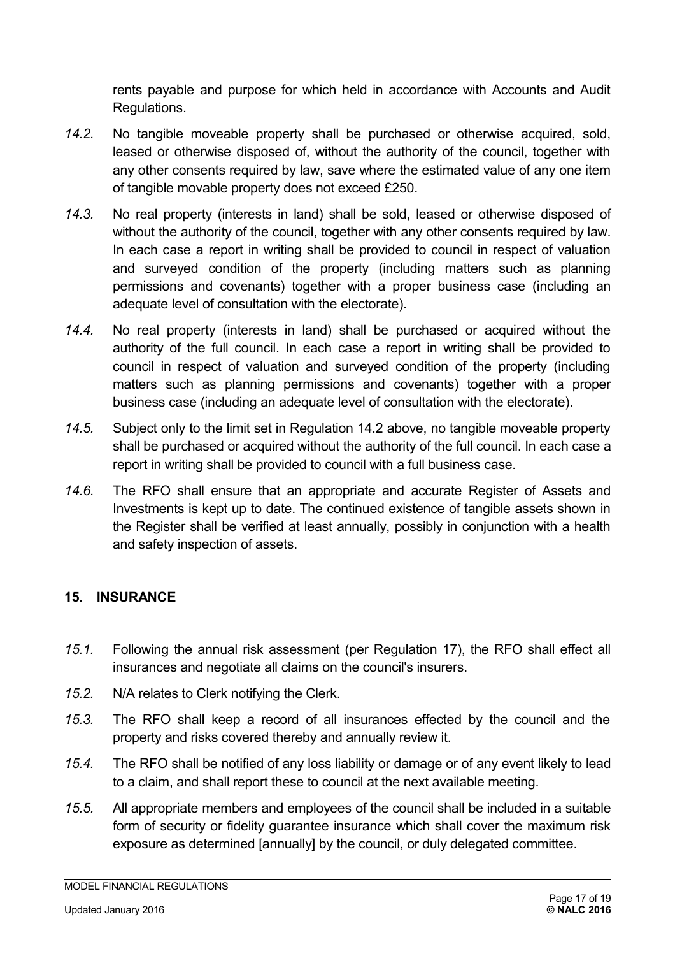rents payable and purpose for which held in accordance with Accounts and Audit Regulations.

- *14.2.* No tangible moveable property shall be purchased or otherwise acquired, sold, leased or otherwise disposed of, without the authority of the council, together with any other consents required by law, save where the estimated value of any one item of tangible movable property does not exceed £250.
- *14.3.* No real property (interests in land) shall be sold, leased or otherwise disposed of without the authority of the council, together with any other consents required by law. In each case a report in writing shall be provided to council in respect of valuation and surveyed condition of the property (including matters such as planning permissions and covenants) together with a proper business case (including an adequate level of consultation with the electorate).
- *14.4.* No real property (interests in land) shall be purchased or acquired without the authority of the full council. In each case a report in writing shall be provided to council in respect of valuation and surveyed condition of the property (including matters such as planning permissions and covenants) together with a proper business case (including an adequate level of consultation with the electorate).
- *14.5.* Subject only to the limit set in Regulation 14.2 above, no tangible moveable property shall be purchased or acquired without the authority of the full council. In each case a report in writing shall be provided to council with a full business case.
- *14.6.* The RFO shall ensure that an appropriate and accurate Register of Assets and Investments is kept up to date. The continued existence of tangible assets shown in the Register shall be verified at least annually, possibly in conjunction with a health and safety inspection of assets.

#### <span id="page-16-0"></span>**15. INSURANCE**

- *15.1.* Following the annual risk assessment (per Regulation 17), the RFO shall effect all insurances and negotiate all claims on the council's insurers.
- *15.2.* N/A relates to Clerk notifying the Clerk.
- *15.3.* The RFO shall keep a record of all insurances effected by the council and the property and risks covered thereby and annually review it.
- *15.4.* The RFO shall be notified of any loss liability or damage or of any event likely to lead to a claim, and shall report these to council at the next available meeting.
- *15.5.* All appropriate members and employees of the council shall be included in a suitable form of security or fidelity guarantee insurance which shall cover the maximum risk exposure as determined [annually] by the council, or duly delegated committee.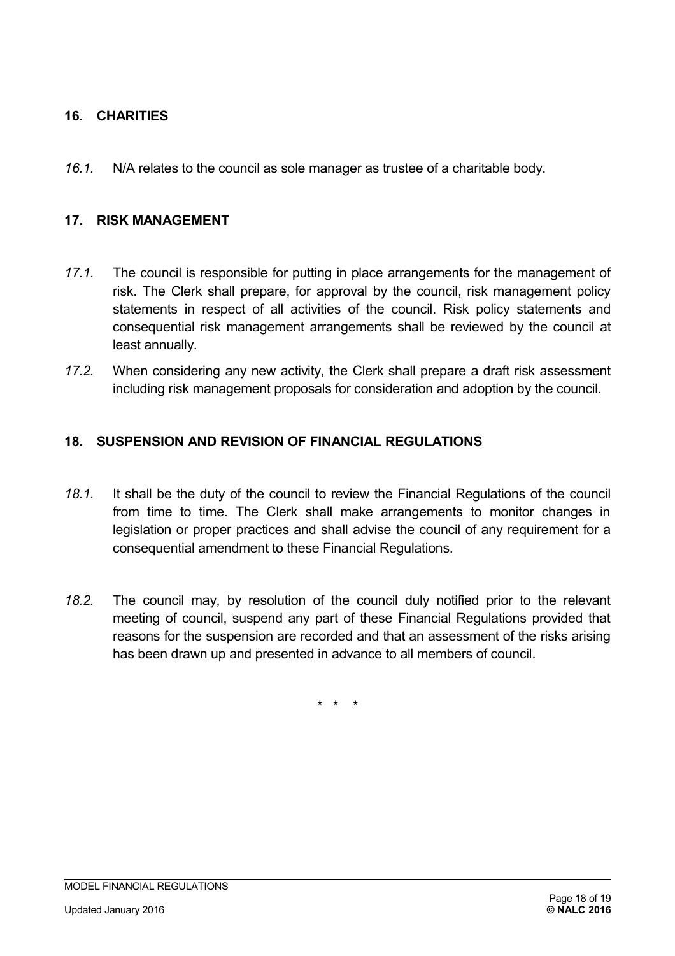# **16. CHARITIES**

*16.1.* N/A relates to the council as sole manager as trustee of a charitable body.

#### <span id="page-17-1"></span>**17. RISK MANAGEMENT**

- *17.1.* The council is responsible for putting in place arrangements for the management of risk. The Clerk shall prepare, for approval by the council, risk management policy statements in respect of all activities of the council. Risk policy statements and consequential risk management arrangements shall be reviewed by the council at least annually.
- *17.2.* When considering any new activity, the Clerk shall prepare a draft risk assessment including risk management proposals for consideration and adoption by the council.

#### <span id="page-17-0"></span>**18. SUSPENSION AND REVISION OF FINANCIAL REGULATIONS**

- *18.1.* It shall be the duty of the council to review the Financial Regulations of the council from time to time. The Clerk shall make arrangements to monitor changes in legislation or proper practices and shall advise the council of any requirement for a consequential amendment to these Financial Regulations.
- *18.2.* The council may, by resolution of the council duly notified prior to the relevant meeting of council, suspend any part of these Financial Regulations provided that reasons for the suspension are recorded and that an assessment of the risks arising has been drawn up and presented in advance to all members of council.

\* \* \*